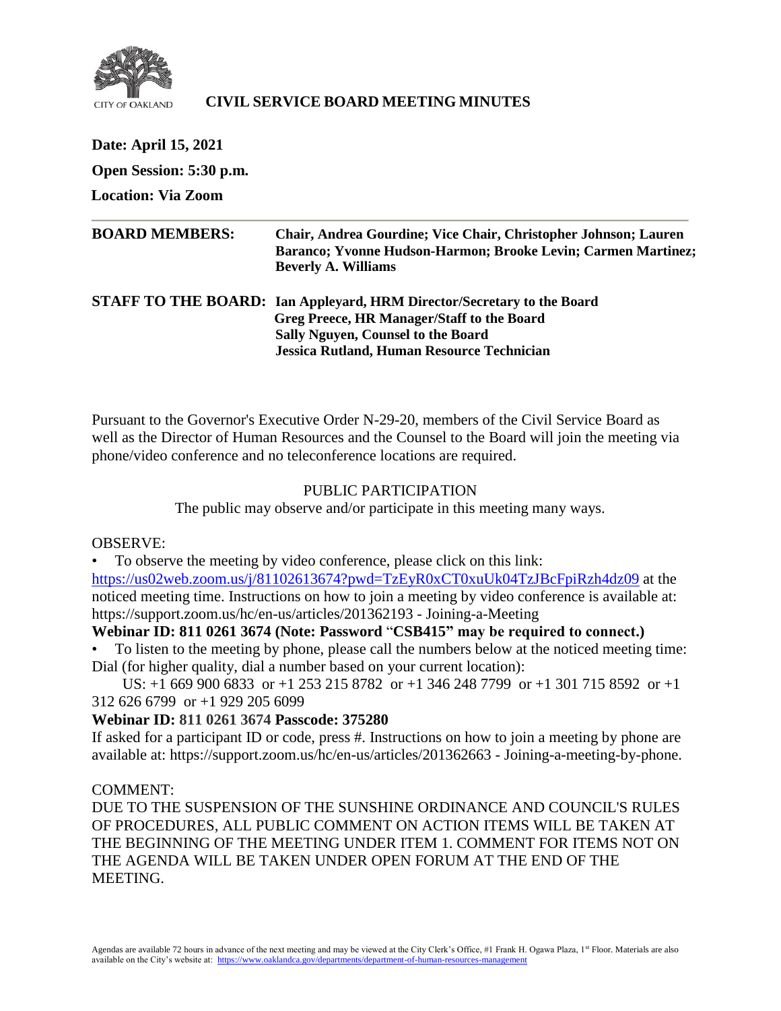

# **CIVIL SERVICE BOARD MEETING MINUTES**

| Date: April 15, 2021      |                                                                                                                                                                                                          |
|---------------------------|----------------------------------------------------------------------------------------------------------------------------------------------------------------------------------------------------------|
| Open Session: 5:30 p.m.   |                                                                                                                                                                                                          |
| <b>Location: Via Zoom</b> |                                                                                                                                                                                                          |
| <b>BOARD MEMBERS:</b>     | Chair, Andrea Gourdine; Vice Chair, Christopher Johnson; Lauren<br>Baranco; Yvonne Hudson-Harmon; Brooke Levin; Carmen Martinez;<br><b>Beverly A. Williams</b>                                           |
|                           | STAFF TO THE BOARD: Ian Appleyard, HRM Director/Secretary to the Board<br>Greg Preece, HR Manager/Staff to the Board<br>Sally Nguyen, Counsel to the Board<br>Jessica Rutland, Human Resource Technician |

Pursuant to the Governor's Executive Order N-29-20, members of the Civil Service Board as well as the Director of Human Resources and the Counsel to the Board will join the meeting via phone/video conference and no teleconference locations are required.

## PUBLIC PARTICIPATION

The public may observe and/or participate in this meeting many ways.

## OBSERVE:

• To observe the meeting by video conference, please click on this link: <https://us02web.zoom.us/j/81102613674?pwd=TzEyR0xCT0xuUk04TzJBcFpiRzh4dz09> at the noticed meeting time. Instructions on how to join a meeting by video conference is available at: https://support.zoom.us/hc/en-us/articles/201362193 - Joining-a-Meeting

## **Webinar ID: 811 0261 3674 (Note: Password** "**CSB415" may be required to connect.)**

• To listen to the meeting by phone, please call the numbers below at the noticed meeting time: Dial (for higher quality, dial a number based on your current location):

 US: +1 669 900 6833 or +1 253 215 8782 or +1 346 248 7799 or +1 301 715 8592 or +1 312 626 6799 or +1 929 205 6099

## **Webinar ID: 811 0261 3674 Passcode: 375280**

If asked for a participant ID or code, press #. Instructions on how to join a meeting by phone are available at: https://support.zoom.us/hc/en-us/articles/201362663 - Joining-a-meeting-by-phone.

#### COMMENT:

DUE TO THE SUSPENSION OF THE SUNSHINE ORDINANCE AND COUNCIL'S RULES OF PROCEDURES, ALL PUBLIC COMMENT ON ACTION ITEMS WILL BE TAKEN AT THE BEGINNING OF THE MEETING UNDER ITEM 1. COMMENT FOR ITEMS NOT ON THE AGENDA WILL BE TAKEN UNDER OPEN FORUM AT THE END OF THE MEETING.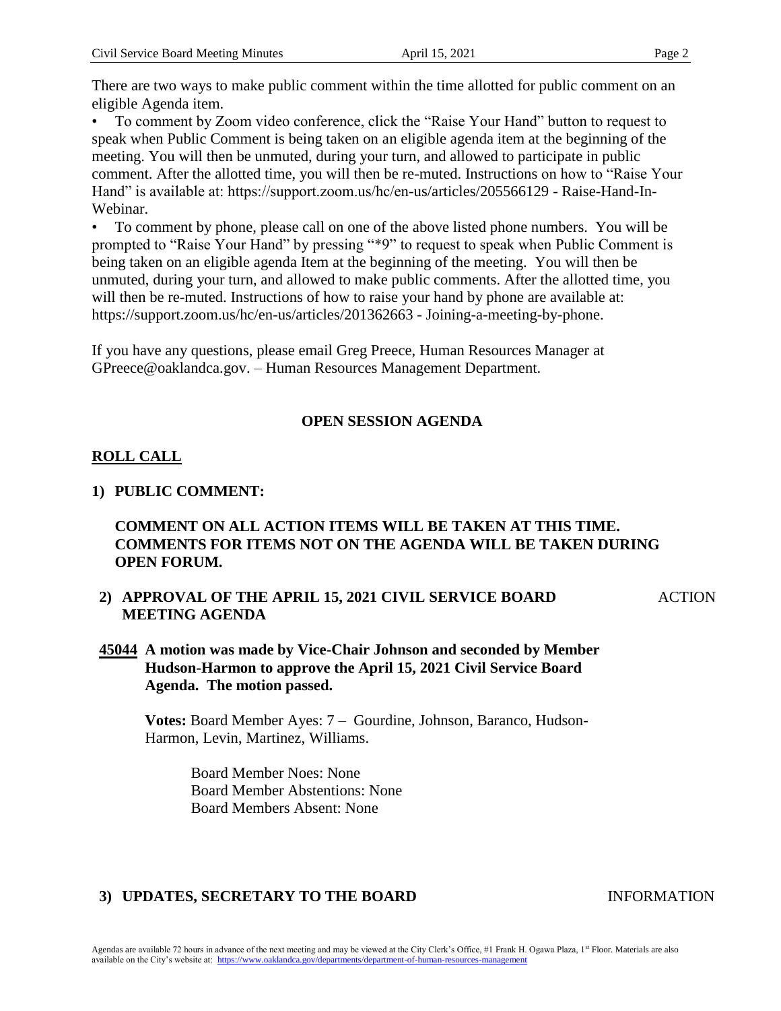There are two ways to make public comment within the time allotted for public comment on an eligible Agenda item.

• To comment by Zoom video conference, click the "Raise Your Hand" button to request to speak when Public Comment is being taken on an eligible agenda item at the beginning of the meeting. You will then be unmuted, during your turn, and allowed to participate in public comment. After the allotted time, you will then be re-muted. Instructions on how to "Raise Your Hand" is available at: https://support.zoom.us/hc/en-us/articles/205566129 - Raise-Hand-In-Webinar.

• To comment by phone, please call on one of the above listed phone numbers. You will be prompted to "Raise Your Hand" by pressing "\*9" to request to speak when Public Comment is being taken on an eligible agenda Item at the beginning of the meeting. You will then be unmuted, during your turn, and allowed to make public comments. After the allotted time, you will then be re-muted. Instructions of how to raise your hand by phone are available at: https://support.zoom.us/hc/en-us/articles/201362663 - Joining-a-meeting-by-phone.

If you have any questions, please email Greg Preece, Human Resources Manager at GPreece@oaklandca.gov. – Human Resources Management Department.

# **OPEN SESSION AGENDA**

# **ROLL CALL**

## **1) PUBLIC COMMENT:**

# **COMMENT ON ALL ACTION ITEMS WILL BE TAKEN AT THIS TIME. COMMENTS FOR ITEMS NOT ON THE AGENDA WILL BE TAKEN DURING OPEN FORUM.**

**2) APPROVAL OF THE APRIL 15, 2021 CIVIL SERVICE BOARD MEETING AGENDA**

ACTION

**45044 A motion was made by Vice-Chair Johnson and seconded by Member Hudson-Harmon to approve the April 15, 2021 Civil Service Board Agenda. The motion passed.** 

**Votes:** Board Member Ayes: 7 – Gourdine, Johnson, Baranco, Hudson-Harmon, Levin, Martinez, Williams.

> Board Member Noes: None Board Member Abstentions: None Board Members Absent: None

# **3) UPDATES, SECRETARY TO THE BOARD INFORMATION**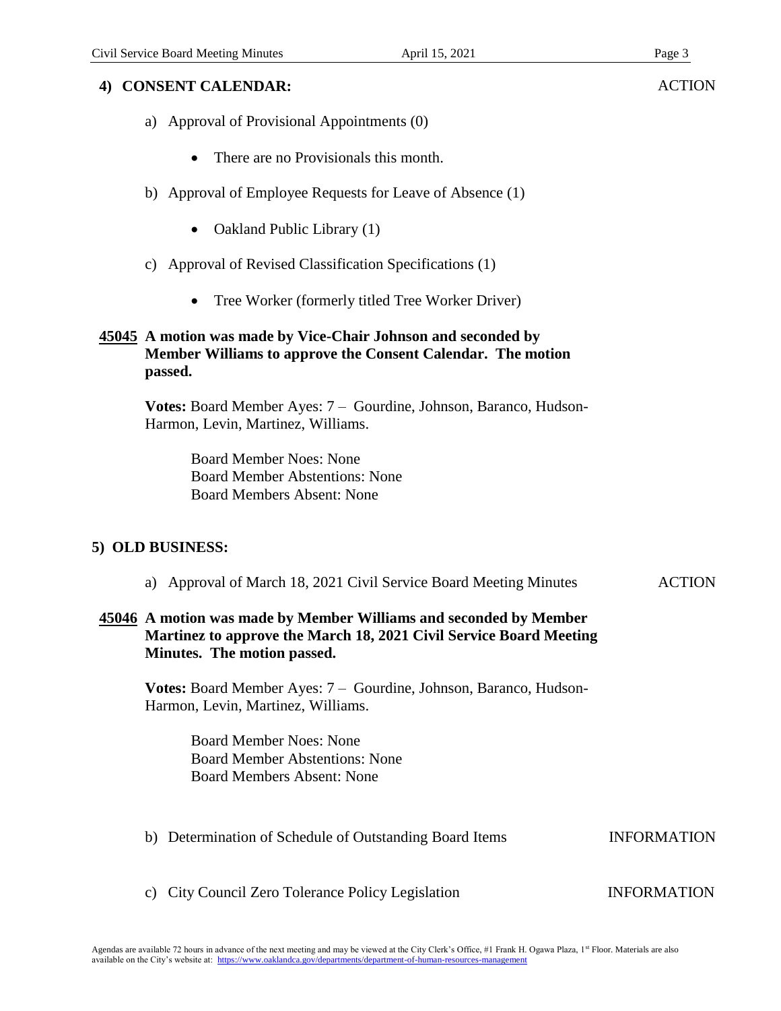## **4) CONSENT CALENDAR:**

- a) Approval of Provisional Appointments (0)
	- There are no Provisionals this month.
- b) Approval of Employee Requests for Leave of Absence (1)
	- Oakland Public Library (1)
- c) Approval of Revised Classification Specifications (1)
	- Tree Worker (formerly titled Tree Worker Driver)

## **45045 A motion was made by Vice-Chair Johnson and seconded by Member Williams to approve the Consent Calendar. The motion passed.**

**Votes:** Board Member Ayes: 7 – Gourdine, Johnson, Baranco, Hudson-Harmon, Levin, Martinez, Williams.

> Board Member Noes: None Board Member Abstentions: None Board Members Absent: None

## **5) OLD BUSINESS:**

a) Approval of March 18, 2021 Civil Service Board Meeting Minutes ACTION

## **45046 A motion was made by Member Williams and seconded by Member Martinez to approve the March 18, 2021 Civil Service Board Meeting Minutes. The motion passed.**

**Votes:** Board Member Ayes: 7 – Gourdine, Johnson, Baranco, Hudson-Harmon, Levin, Martinez, Williams.

> Board Member Noes: None Board Member Abstentions: None Board Members Absent: None

- b) Determination of Schedule of Outstanding Board Items INFORMATION
- c) City Council Zero Tolerance Policy Legislation INFORMATION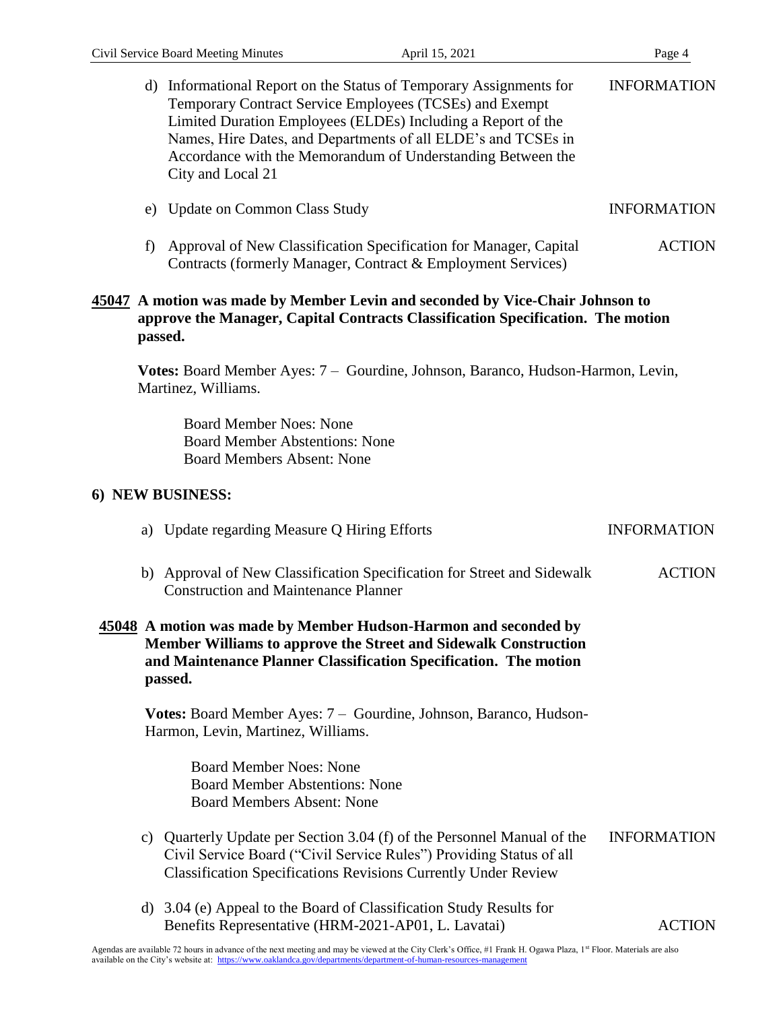|                                                                                                                                                                             | d) Informational Report on the Status of Temporary Assignments for<br>Temporary Contract Service Employees (TCSEs) and Exempt<br>Limited Duration Employees (ELDEs) Including a Report of the<br>Names, Hire Dates, and Departments of all ELDE's and TCSEs in<br>Accordance with the Memorandum of Understanding Between the<br>City and Local 21 | <b>INFORMATION</b> |  |
|-----------------------------------------------------------------------------------------------------------------------------------------------------------------------------|----------------------------------------------------------------------------------------------------------------------------------------------------------------------------------------------------------------------------------------------------------------------------------------------------------------------------------------------------|--------------------|--|
|                                                                                                                                                                             | e) Update on Common Class Study                                                                                                                                                                                                                                                                                                                    | <b>INFORMATION</b> |  |
| f)                                                                                                                                                                          | Approval of New Classification Specification for Manager, Capital<br>Contracts (formerly Manager, Contract & Employment Services)                                                                                                                                                                                                                  | <b>ACTION</b>      |  |
| 45047 A motion was made by Member Levin and seconded by Vice-Chair Johnson to<br>approve the Manager, Capital Contracts Classification Specification. The motion<br>passed. |                                                                                                                                                                                                                                                                                                                                                    |                    |  |
|                                                                                                                                                                             | Votes: Board Member Ayes: 7 - Gourdine, Johnson, Baranco, Hudson-Harmon, Levin,<br>Martinez, Williams.                                                                                                                                                                                                                                             |                    |  |
|                                                                                                                                                                             | <b>Board Member Noes: None</b><br><b>Board Member Abstentions: None</b><br><b>Board Members Absent: None</b>                                                                                                                                                                                                                                       |                    |  |
|                                                                                                                                                                             | 6) NEW BUSINESS:                                                                                                                                                                                                                                                                                                                                   |                    |  |
|                                                                                                                                                                             | a) Update regarding Measure Q Hiring Efforts                                                                                                                                                                                                                                                                                                       | <b>INFORMATION</b> |  |
|                                                                                                                                                                             | b) Approval of New Classification Specification for Street and Sidewalk<br><b>Construction and Maintenance Planner</b>                                                                                                                                                                                                                             | <b>ACTION</b>      |  |
|                                                                                                                                                                             | 45048 A motion was made by Member Hudson-Harmon and seconded by<br>Member Williams to approve the Street and Sidewalk Construction<br>and Maintenance Planner Classification Specification. The motion<br>passed.                                                                                                                                  |                    |  |
|                                                                                                                                                                             | Votes: Board Member Ayes: 7 – Gourdine, Johnson, Baranco, Hudson-<br>Harmon, Levin, Martinez, Williams.                                                                                                                                                                                                                                            |                    |  |
|                                                                                                                                                                             | <b>Board Member Noes: None</b><br><b>Board Member Abstentions: None</b><br><b>Board Members Absent: None</b>                                                                                                                                                                                                                                       |                    |  |
| C)                                                                                                                                                                          | Quarterly Update per Section 3.04 (f) of the Personnel Manual of the<br>Civil Service Board ("Civil Service Rules") Providing Status of all<br><b>Classification Specifications Revisions Currently Under Review</b>                                                                                                                               | <b>INFORMATION</b> |  |
|                                                                                                                                                                             | d) 3.04 (e) Appeal to the Board of Classification Study Results for<br>Benefits Representative (HRM-2021-AP01, L. Lavatai)                                                                                                                                                                                                                         | <b>ACTION</b>      |  |